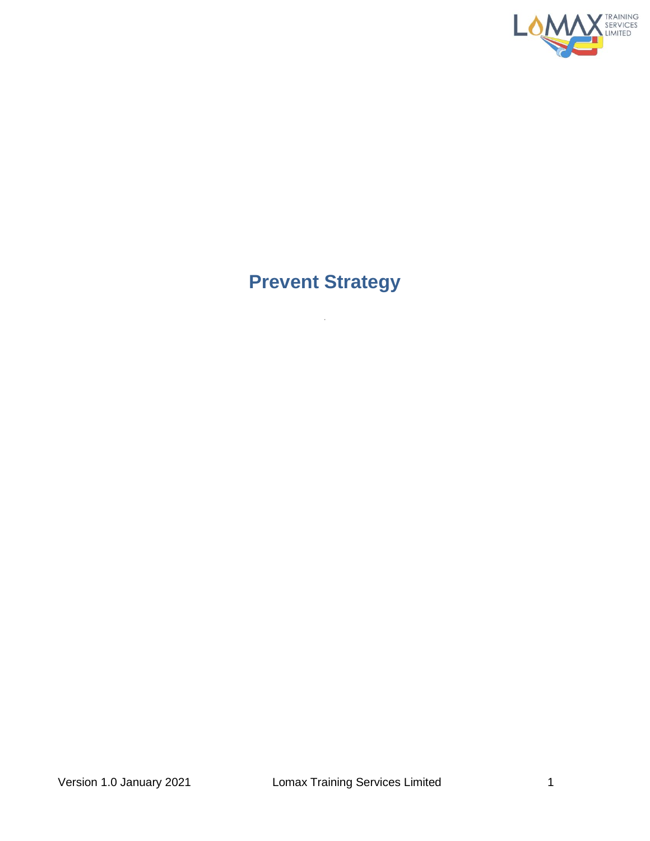

# **Prevent Strategy**

 $\bar{z}$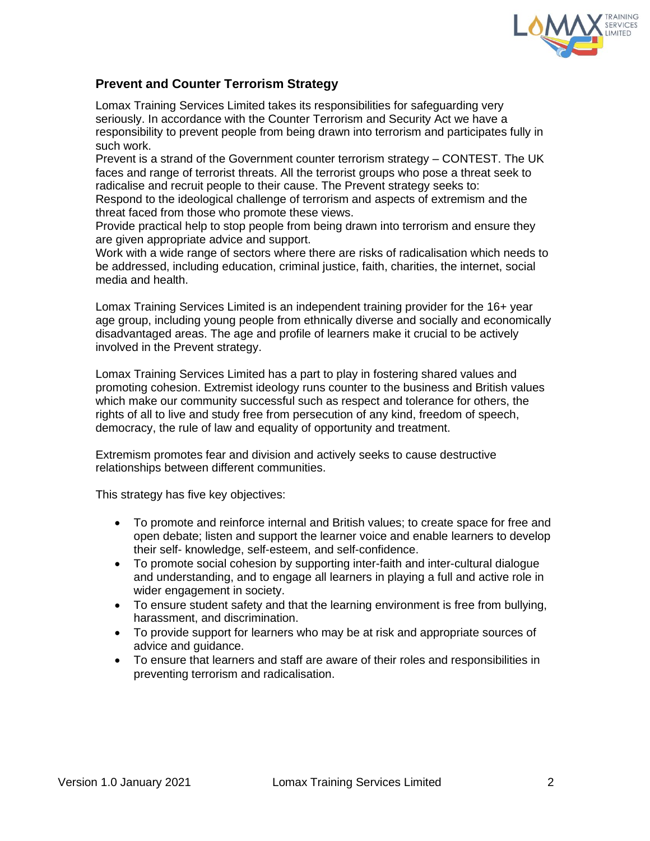

## **Prevent and Counter Terrorism Strategy**

Lomax Training Services Limited takes its responsibilities for safeguarding very seriously. In accordance with the Counter Terrorism and Security Act we have a responsibility to prevent people from being drawn into terrorism and participates fully in such work.

Prevent is a strand of the Government counter terrorism strategy – CONTEST. The UK faces and range of terrorist threats. All the terrorist groups who pose a threat seek to radicalise and recruit people to their cause. The Prevent strategy seeks to: Respond to the ideological challenge of terrorism and aspects of extremism and the

threat faced from those who promote these views.

Provide practical help to stop people from being drawn into terrorism and ensure they are given appropriate advice and support.

Work with a wide range of sectors where there are risks of radicalisation which needs to be addressed, including education, criminal justice, faith, charities, the internet, social media and health.

Lomax Training Services Limited is an independent training provider for the 16+ year age group, including young people from ethnically diverse and socially and economically disadvantaged areas. The age and profile of learners make it crucial to be actively involved in the Prevent strategy.

Lomax Training Services Limited has a part to play in fostering shared values and promoting cohesion. Extremist ideology runs counter to the business and British values which make our community successful such as respect and tolerance for others, the rights of all to live and study free from persecution of any kind, freedom of speech, democracy, the rule of law and equality of opportunity and treatment.

Extremism promotes fear and division and actively seeks to cause destructive relationships between different communities.

This strategy has five key objectives:

- To promote and reinforce internal and British values; to create space for free and open debate; listen and support the learner voice and enable learners to develop their self- knowledge, self-esteem, and self-confidence.
- To promote social cohesion by supporting inter-faith and inter-cultural dialogue and understanding, and to engage all learners in playing a full and active role in wider engagement in society.
- To ensure student safety and that the learning environment is free from bullying, harassment, and discrimination.
- To provide support for learners who may be at risk and appropriate sources of advice and guidance.
- To ensure that learners and staff are aware of their roles and responsibilities in preventing terrorism and radicalisation.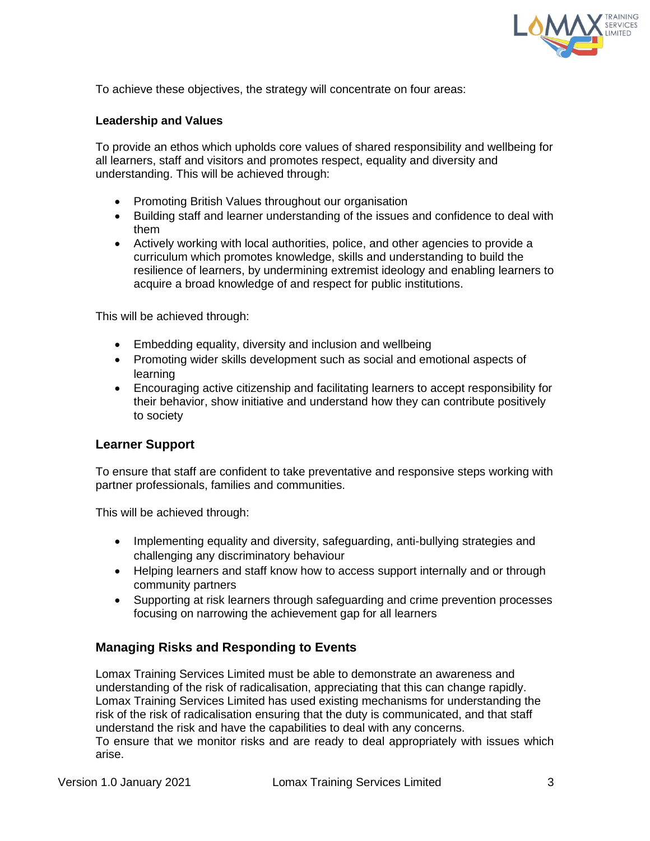

To achieve these objectives, the strategy will concentrate on four areas:

#### **Leadership and Values**

To provide an ethos which upholds core values of shared responsibility and wellbeing for all learners, staff and visitors and promotes respect, equality and diversity and understanding. This will be achieved through:

- Promoting British Values throughout our organisation
- Building staff and learner understanding of the issues and confidence to deal with them
- Actively working with local authorities, police, and other agencies to provide a curriculum which promotes knowledge, skills and understanding to build the resilience of learners, by undermining extremist ideology and enabling learners to acquire a broad knowledge of and respect for public institutions.

This will be achieved through:

- Embedding equality, diversity and inclusion and wellbeing
- Promoting wider skills development such as social and emotional aspects of learning
- Encouraging active citizenship and facilitating learners to accept responsibility for their behavior, show initiative and understand how they can contribute positively to society

#### **Learner Support**

To ensure that staff are confident to take preventative and responsive steps working with partner professionals, families and communities.

This will be achieved through:

- Implementing equality and diversity, safeguarding, anti-bullying strategies and challenging any discriminatory behaviour
- Helping learners and staff know how to access support internally and or through community partners
- Supporting at risk learners through safeguarding and crime prevention processes focusing on narrowing the achievement gap for all learners

## **Managing Risks and Responding to Events**

Lomax Training Services Limited must be able to demonstrate an awareness and understanding of the risk of radicalisation, appreciating that this can change rapidly. Lomax Training Services Limited has used existing mechanisms for understanding the risk of the risk of radicalisation ensuring that the duty is communicated, and that staff understand the risk and have the capabilities to deal with any concerns. To ensure that we monitor risks and are ready to deal appropriately with issues which arise.